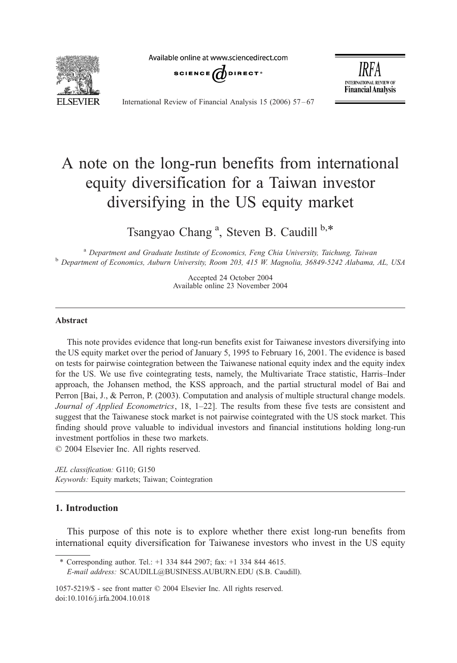Available online at www.sciencedirect.com



SCIENCE  $\omega$  direct<sup>®</sup>

IRFA **INTERNATIONAL REVIEW OF Financial Analysis** 

International Review of Financial Analysis 15 (2006) 57 – 67

## A note on the long-run benefits from international equity diversification for a Taiwan investor diversifying in the US equity market

Tsangyao Chang<sup>a</sup>, Steven B. Caudill b,\*

<sup>a</sup> Department and Graduate Institute of Economics, Feng Chia University, Taichung, Taiwan<br><sup>b</sup> Department of Economics, Auburn University, Room 203, 415 W. Magnolia, 36849-5242 Alabama, AL, USA

Accepted 24 October 2004 Available online 23 November 2004

## Abstract

This note provides evidence that long-run benefits exist for Taiwanese investors diversifying into the US equity market over the period of January 5, 1995 to February 16, 2001. The evidence is based on tests for pairwise cointegration between the Taiwanese national equity index and the equity index for the US. We use five cointegrating tests, namely, the Multivariate Trace statistic, Harris–Inder approach, the Johansen method, the KSS approach, and the partial structural model of Bai and Perron [Bai, J., & Perron, P. (2003). Computation and analysis of multiple structural change models. Journal of Applied Econometrics, 18, 1–22]. The results from these five tests are consistent and suggest that the Taiwanese stock market is not pairwise cointegrated with the US stock market. This finding should prove valuable to individual investors and financial institutions holding long-run investment portfolios in these two markets.  $\odot$  2004 Elsevier Inc. All rights reserved.

JEL classification: G110; G150 Keywords: Equity markets; Taiwan; Cointegration

## 1. Introduction

This purpose of this note is to explore whether there exist long-run benefits from international equity diversification for Taiwanese investors who invest in the US equity

\* Corresponding author. Tel.: +1 334 844 2907; fax: +1 334 844 4615. E-mail address: SCAUDILL@BUSINESS.AUBURN.EDU (S.B. Caudill).

1057-5219/\$ - see front matter © 2004 Elsevier Inc. All rights reserved. doi:10.1016/j.irfa.2004.10.018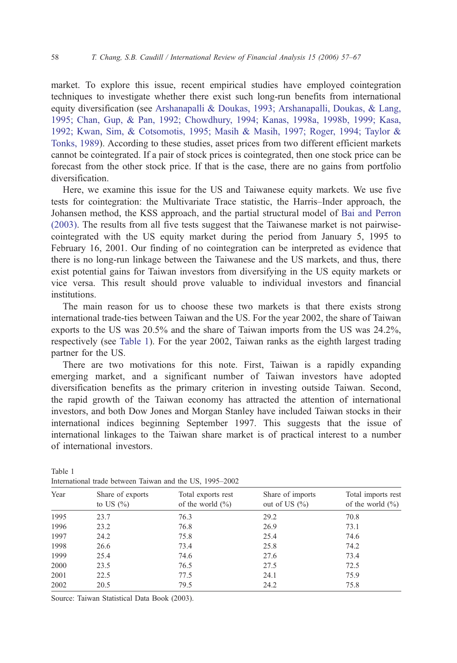market. To explore this issue, recent empirical studies have employed cointegration techniques to investigate whether there exist such long-run benefits from international equity diversification (see [Arshanapalli & Doukas, 1993; Arshanapalli, Doukas, & Lang,](#page--1-0) 1995; Chan, Gup, & Pan, 1992; Chowdhury, 1994; Kanas, 1998a, 1998b, 1999; Kasa, 1992; Kwan, Sim, & Cotsomotis, 1995; Masih & Masih, 1997; Roger, 1994; Taylor & Tonks, 1989). According to these studies, asset prices from two different efficient markets cannot be cointegrated. If a pair of stock prices is cointegrated, then one stock price can be forecast from the other stock price. If that is the case, there are no gains from portfolio diversification.

Here, we examine this issue for the US and Taiwanese equity markets. We use five tests for cointegration: the Multivariate Trace statistic, the Harris–Inder approach, the Johansen method, the KSS approach, and the partial structural model of [Bai and Perron](#page--1-0) (2003). The results from all five tests suggest that the Taiwanese market is not pairwisecointegrated with the US equity market during the period from January 5, 1995 to February 16, 2001. Our finding of no cointegration can be interpreted as evidence that there is no long-run linkage between the Taiwanese and the US markets, and thus, there exist potential gains for Taiwan investors from diversifying in the US equity markets or vice versa. This result should prove valuable to individual investors and financial institutions.

The main reason for us to choose these two markets is that there exists strong international trade-ties between Taiwan and the US. For the year 2002, the share of Taiwan exports to the US was 20.5% and the share of Taiwan imports from the US was 24.2%, respectively (see Table 1). For the year 2002, Taiwan ranks as the eighth largest trading partner for the US.

There are two motivations for this note. First, Taiwan is a rapidly expanding emerging market, and a significant number of Taiwan investors have adopted diversification benefits as the primary criterion in investing outside Taiwan. Second, the rapid growth of the Taiwan economy has attracted the attention of international investors, and both Dow Jones and Morgan Stanley have included Taiwan stocks in their international indices beginning September 1997. This suggests that the issue of international linkages to the Taiwan share market is of practical interest to a number of international investors.

| Year | Share of exports<br>to US $(\% )$ | Total exports rest<br>of the world $(\% )$ | Share of imports<br>out of US $(\% )$ | Total imports rest<br>of the world $(\% )$ |
|------|-----------------------------------|--------------------------------------------|---------------------------------------|--------------------------------------------|
| 1995 | 23.7                              | 76.3                                       | 29.2                                  | 70.8                                       |
| 1996 | 23.2                              | 76.8                                       | 26.9                                  | 73.1                                       |
| 1997 | 24.2                              | 75.8                                       | 25.4                                  | 74.6                                       |
| 1998 | 26.6                              | 73.4                                       | 25.8                                  | 74.2                                       |
| 1999 | 25.4                              | 74.6                                       | 27.6                                  | 73.4                                       |
| 2000 | 23.5                              | 76.5                                       | 27.5                                  | 72.5                                       |
| 2001 | 22.5                              | 77.5                                       | 24.1                                  | 75.9                                       |
| 2002 | 20.5                              | 79.5                                       | 24.2                                  | 75.8                                       |
|      |                                   |                                            |                                       |                                            |

Table 1 International trade between Taiwan and the US, 1995–2002

Source: Taiwan Statistical Data Book (2003).